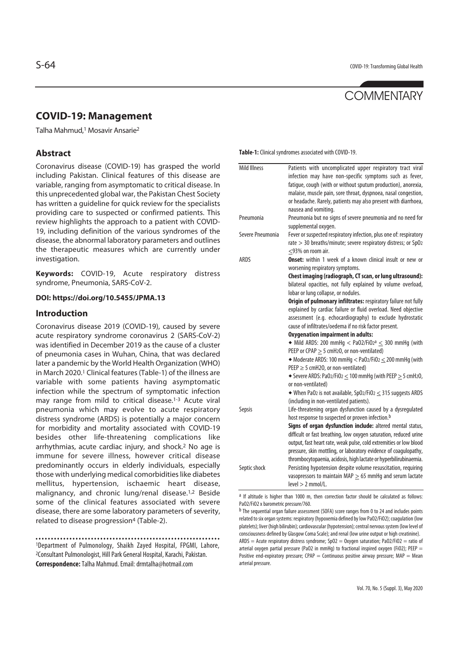# **COMMENTARY**

# **COVID-19: Management**

Talha Mahmud,1 Mosavir Ansarie2

## **Abstract**

Coronavirus disease (COVID-19) has grasped the world including Pakistan. Clinical features of this disease are variable, ranging from asymptomatic to critical disease. In this unprecedented global war, the Pakistan Chest Society has written a guideline for quick review for the specialists providing care to suspected or confirmed patients. This review highlights the approach to a patient with COVID-19, including definition of the various syndromes of the disease, the abnormal laboratory parameters and outlines the therapeutic measures which are currently under investigation.

**Keywords:** COVID-19, Acute respiratory distress syndrome, Pneumonia, SARS-CoV-2.

#### **DOI: https://doi.org/10.5455/JPMA.13**

#### **Introduction**

Coronavirus disease 2019 (COVID-19), caused by severe acute respiratory syndrome coronavirus 2 (SARS-CoV-2) was identified in December 2019 as the cause of a cluster of pneumonia cases in Wuhan, China, that was declared later a pandemic by the World Health Organization (WHO) in March 2020.<sup>1</sup> Clinical features (Table-1) of the illness are variable with some patients having asymptomatic infection while the spectrum of symptomatic infection may range from mild to critical disease.1-3 Acute viral pneumonia which may evolve to acute respiratory distress syndrome (ARDS) is potentially a major concern for morbidity and mortality associated with COVID-19 besides other life-threatening complications like arrhythmias, acute cardiac injury, and shock.2 No age is immune for severe illness, however critical disease predominantly occurs in elderly individuals, especially those with underlying medical comorbidities like diabetes mellitus, hypertension, ischaemic heart disease, malignancy, and chronic lung/renal disease.1,2 Beside some of the clinical features associated with severe disease, there are some laboratory parameters of severity, related to disease progression<sup>4</sup> (Table-2).

1Department of Pulmonology, Shaikh Zayed Hospital, FPGMI, Lahore, 2Consultant Pulmonologist, Hill Park General Hospital, Karachi, Pakistan. **Correspondence:** Talha Mahmud. Email: drmtalha@hotmail.com

**Table-1:** Clinical syndromes associated with COVID-19.

| <b>Mild Illness</b> | Patients with uncomplicated upper respiratory tract viral                    |
|---------------------|------------------------------------------------------------------------------|
|                     | infection may have non-specific symptoms such as fever,                      |
|                     | fatique, cough (with or without sputum production), anorexia,                |
|                     | malaise, muscle pain, sore throat, dyspnoea, nasal congestion,               |
|                     | or headache. Rarely, patients may also present with diarrhoea,               |
|                     | nausea and vomiting.                                                         |
| Pneumonia           | Pneumonia but no signs of severe pneumonia and no need for                   |
|                     | supplemental oxygen.                                                         |
| Severe Pneumonia    | Fever or suspected respiratory infection, plus one of: respiratory           |
|                     | rate > 30 breaths/minute; severe respiratory distress; or SpO2               |
|                     | <93% on room air.                                                            |
| <b>ARDS</b>         | Onset: within 1 week of a known clinical insult or new or                    |
|                     | worsening respiratory symptoms.                                              |
|                     | Chest imaging (radiograph, CT scan, or lung ultrasound):                     |
|                     | bilateral opacities, not fully explained by volume overload,                 |
|                     | lobar or lung collapse, or nodules.                                          |
|                     | Origin of pulmonary infiltrates: respiratory failure not fully               |
|                     | explained by cardiac failure or fluid overload. Need objective               |
|                     | assessment (e.g. echocardiography) to exclude hydrostatic                    |
|                     | cause of infiltrates/oedema if no risk factor present.                       |
|                     | <b>Oxygenation impairment in adults:</b>                                     |
|                     | $\bullet$ Mild ARDS: 200 mmHg < Pa02/Fi02 <sup>a</sup> $\leq$ 300 mmHg (with |
|                     | PEEP or CPAP $\geq$ 5 cmH <sub>2</sub> O, or non-ventilated)                 |
|                     | $\bullet$ Moderate ARDS: 100 mmHg < Pa02/Fi02 $\leq$ 200 mmHg (with          |
|                     | PEEP $\geq$ 5 cmH2O, or non-ventilated)                                      |
|                     | $\bullet$ Severe ARDS: PaO2/FiO2 $\leq$ 100 mmHg (with PEEP $\geq$ 5 cmH2O,  |
|                     | or non-ventilated)                                                           |
|                     | $\bullet$ When PaO2 is not available, SpO2/FiO2 $\leq$ 315 suggests ARDS     |
|                     | (including in non-ventilated patients).                                      |
| Sepsis              | Life-threatening organ dysfunction caused by a dysregulated                  |
|                     | host response to suspected or proven infection. <sup>b</sup>                 |
|                     | Signs of organ dysfunction include: altered mental status,                   |
|                     | difficult or fast breathing, low oxygen saturation, reduced urine            |
|                     | output, fast heart rate, weak pulse, cold extremities or low blood           |
|                     | pressure, skin mottling, or laboratory evidence of coagulopathy,             |
|                     | thrombocytopaenia, acidosis, high lactate or hyperbilirubinaemia.            |
| Septic shock        | Persisting hypotension despite volume resuscitation, requiring               |
|                     | vasopressors to maintain MAP $\geq$ 65 mmHq and serum lactate                |
|                     | $level > 2$ mmol/L.                                                          |
|                     |                                                                              |

a If altitude is higher than 1000 m, then correction factor should be calculated as follows: PaO2/FiO2 x barometric pressure/760.

b The sequential organ failure assessment (SOFA) score ranges from 0 to 24 and includes points related to six organ systems: respiratory (hypoxemia defined by low PaO2/FiO2); coagulation (low platelets); liver (high bilirubin); cardiovascular (hypotension); central nervous system (low level of consciousness defined by Glasgow Coma Scale); and renal (low urine output or high creatinine).

 $ARDS =$  Acute respiratory distress syndrome; SpO2 = Oxygen saturation; PaO2/FiO2 = ratio of arterial oxygen partial pressure (PaO2 in mmHg) to fractional inspired oxygen (FiO2); PEEP = Positive end-expiratory pressure; CPAP = Continuous positive airway pressure;  $MAP = Mean$ arterial pressure.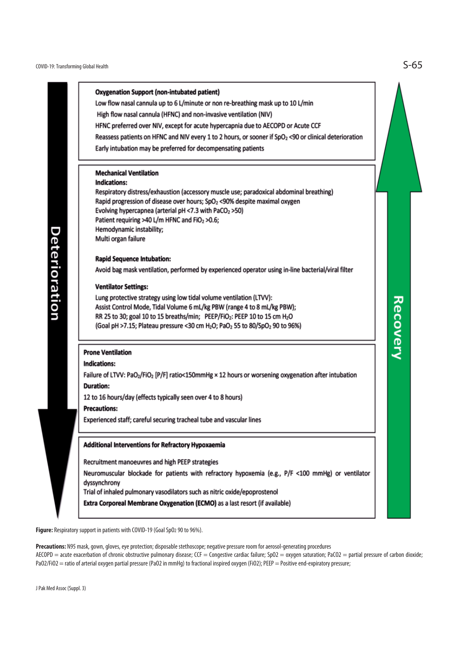

Figure: Respiratory support in patients with COVID-19 (Goal SpO<sub>2</sub> 90 to 96%).

**Precautions:** N95 mask, gown, gloves, eye protection; disposable stethoscope; negative pressure room for aerosol-generating procedures AECOPD = acute exacerbation of chronic obstructive pulmonary disease; CCF = Congestive cardiac failure; SpO2 = oxygen saturation; PaCO2 = partial pressure of carbon dioxide; PaO2/FiO2 = ratio of arterial oxygen partial pressure (PaO2 in mmHg) to fractional inspired oxygen (FiO2); PEEP = Positive end-expiratory pressure;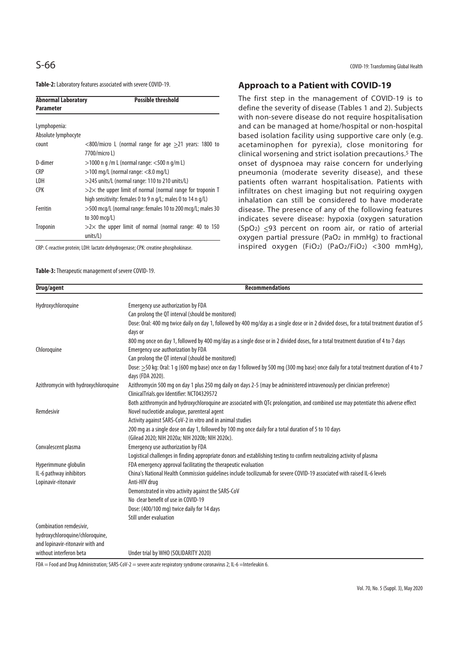**Table-2:** Laboratory features associated with severe COVID-19.

| <b>Abnormal Laboratory</b><br><b>Parameter</b> | <b>Possible threshold</b>                                         |
|------------------------------------------------|-------------------------------------------------------------------|
| Lymphopenia:                                   |                                                                   |
| Absolute lymphocyte                            |                                                                   |
| count                                          | $<$ 800/micro L (normal range for age $>$ 21 years: 1800 to       |
|                                                | 7700/micro L)                                                     |
| D-dimer                                        | $>$ 1000 n g /m L (normal range: $<$ 500 n g/m L)                 |
| CRP)                                           | $>$ 100 mg/L (normal range: $<$ 8.0 mg/L)                         |
| I DH                                           | >245 units/L (normal range: 110 to 210 units/L)                   |
| CPK                                            | $>2\times$ the upper limit of normal (normal range for troponin T |
|                                                | high sensitivity: females 0 to 9 n g/L; males 0 to 14 n g/L)      |
| Ferritin                                       | >500 mcg/L (normal range: females 10 to 200 mcg/L; males 30       |
|                                                | to 300 mcg/L)                                                     |
| <b>Troponin</b>                                | $>2\times$ the upper limit of normal (normal range: 40 to 150     |
|                                                | units/L)                                                          |

CRP: C-reactive protein; LDH: lactate dehydrogenase; CPK: creatine phosphokinase.

**Table-3:** Therapeutic management of severe COVID-19.

# **Approach to a Patient with COVID-19**

The first step in the management of COVID-19 is to define the severity of disease (Tables 1 and 2). Subjects with non-severe disease do not require hospitalisation and can be managed at home/hospital or non-hospital based isolation facility using supportive care only (e.g. acetaminophen for pyrexia), close monitoring for clinical worsening and strict isolation precautions.5 The onset of dyspnoea may raise concern for underlying pneumonia (moderate severity disease), and these patients often warrant hospitalisation. Patients with infiltrates on chest imaging but not requiring oxygen inhalation can still be considered to have moderate disease. The presence of any of the following features indicates severe disease: hypoxia (oxygen saturation  $(SpO<sub>2</sub>) \leq 93$  percent on room air, or ratio of arterial oxygen partial pressure (PaO<sub>2</sub> in mmHg) to fractional inspired oxygen (FiO2) (PaO2/FiO2) <300 mmHg),

| Drug/agent                           | <b>Recommendations</b>                                                                                                                         |
|--------------------------------------|------------------------------------------------------------------------------------------------------------------------------------------------|
| Hydroxychloroquine                   | Emergency use authorization by FDA                                                                                                             |
|                                      | Can prolong the QT interval (should be monitored)                                                                                              |
|                                      | Dose: Oral: 400 mg twice daily on day 1, followed by 400 mg/day as a single dose or in 2 divided doses, for a total treatment duration of 5    |
|                                      | days or                                                                                                                                        |
|                                      | 800 mg once on day 1, followed by 400 mg/day as a single dose or in 2 divided doses, for a total treatment duration of 4 to 7 days             |
| Chloroquine                          | Emergency use authorization by FDA                                                                                                             |
|                                      | Can prolong the QT interval (should be monitored)                                                                                              |
|                                      | Dose: $\geq$ 50 kg: Oral: 1 g (600 mg base) once on day 1 followed by 500 mg (300 mg base) once daily for a total treatment duration of 4 to 7 |
|                                      | days (FDA 2020).                                                                                                                               |
| Azithromycin with hydroxychloroquine | Azithromycin 500 mg on day 1 plus 250 mg daily on days 2-5 (may be administered intravenously per clinician preference)                        |
|                                      | ClinicalTrials.gov Identifier: NCT04329572                                                                                                     |
|                                      | Both azithromycin and hydroxychloroquine are associated with QTc prolongation, and combined use may potentiate this adverse effect             |
| Remdesivir                           | Novel nucleotide analogue, parenteral agent                                                                                                    |
|                                      | Activity against SARS-CoV-2 in vitro and in animal studies                                                                                     |
|                                      | 200 mg as a single dose on day 1, followed by 100 mg once daily for a total duration of 5 to 10 days                                           |
|                                      | (Gilead 2020; NIH 2020a; NIH 2020b; NIH 2020c).                                                                                                |
| Convalescent plasma                  | Emergency use authorization by FDA                                                                                                             |
|                                      | Logistical challenges in finding appropriate donors and establishing testing to confirm neutralizing activity of plasma                        |
| Hyperimmune globulin                 | FDA emergency approval facilitating the therapeutic evaluation                                                                                 |
| IL-6 pathway inhibitors              | China's National Health Commission quidelines include tocilizumab for severe COVID-19 associated with raised IL-6 levels                       |
| Lopinavir-ritonavir                  | Anti-HIV drug                                                                                                                                  |
|                                      | Demonstrated in vitro activity against the SARS-CoV                                                                                            |
|                                      | No clear benefit of use in COVID-19                                                                                                            |
|                                      | Dose: (400/100 mg) twice daily for 14 days                                                                                                     |
|                                      | Still under evaluation                                                                                                                         |
| Combination remdesivir,              |                                                                                                                                                |
| hydroxychloroquine/chloroquine,      |                                                                                                                                                |
| and lopinavir-ritonavir with and     |                                                                                                                                                |
| without interferon beta              | Under trial by WHO (SOLIDARITY 2020)                                                                                                           |

FDA = Food and Drug Administration; SARS-CoV-2 = severe acute respiratory syndrome coronavirus 2; IL-6 = Interleukin 6.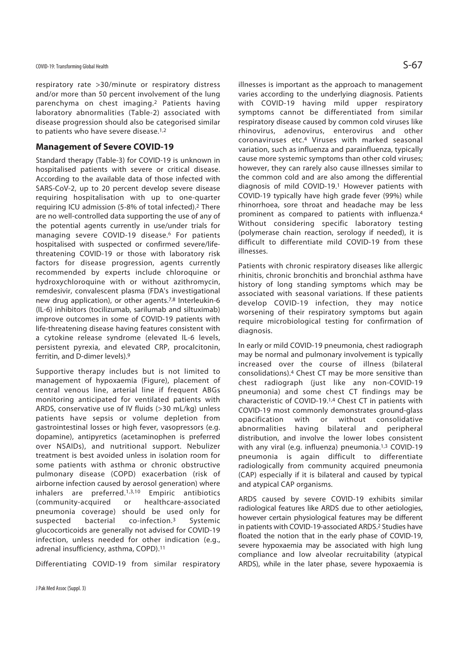respiratory rate >30/minute or respiratory distress and/or more than 50 percent involvement of the lung parenchyma on chest imaging.2 Patients having laboratory abnormalities (Table-2) associated with disease progression should also be categorised similar to patients who have severe disease.<sup>1,2</sup>

### **Management of Severe COVID-19**

Standard therapy (Table-3) for COVID-19 is unknown in hospitalised patients with severe or critical disease. According to the available data of those infected with SARS-CoV-2, up to 20 percent develop severe disease requiring hospitalisation with up to one-quarter requiring ICU admission (5-8% of total infected).2 There are no well-controlled data supporting the use of any of the potential agents currently in use/under trials for managing severe COVID-19 disease.<sup>6</sup> For patients hospitalised with suspected or confirmed severe/lifethreatening COVID-19 or those with laboratory risk factors for disease progression, agents currently recommended by experts include chloroquine or hydroxychloroquine with or without azithromycin, remdesivir, convalescent plasma (FDA's investigational new drug application), or other agents.7,8 Interleukin-6 (IL-6) inhibitors (tocilizumab, sarilumab and siltuximab) improve outcomes in some of COVID-19 patients with life-threatening disease having features consistent with a cytokine release syndrome (elevated IL-6 levels, persistent pyrexia, and elevated CRP, procalcitonin, ferritin, and D-dimer levels).9

Supportive therapy includes but is not limited to management of hypoxaemia (Figure), placement of central venous line, arterial line if frequent ABGs monitoring anticipated for ventilated patients with ARDS, conservative use of IV fluids (>30 mL/kg) unless patients have sepsis or volume depletion from gastrointestinal losses or high fever, vasopressors (e.g. dopamine), antipyretics (acetaminophen is preferred over NSAIDs), and nutritional support. Nebulizer treatment is best avoided unless in isolation room for some patients with asthma or chronic obstructive pulmonary disease (COPD) exacerbation (risk of airborne infection caused by aerosol generation) where inhalers are preferred.1,3,10 Empiric antibiotics (community-acquired or healthcare-associated pneumonia coverage) should be used only for suspected bacterial co-infection.3 Systemic glucocorticoids are generally not advised for COVID-19 infection, unless needed for other indication (e.g., adrenal insufficiency, asthma, COPD).11

Differentiating COVID-19 from similar respiratory

illnesses is important as the approach to management varies according to the underlying diagnosis. Patients with COVID-19 having mild upper respiratory symptoms cannot be differentiated from similar respiratory disease caused by common cold viruses like rhinovirus, adenovirus, enterovirus and other coronaviruses etc.4 Viruses with marked seasonal variation, such as influenza and parainfluenza, typically cause more systemic symptoms than other cold viruses; however, they can rarely also cause illnesses similar to the common cold and are also among the differential diagnosis of mild COVID-19.1 However patients with COVID-19 typically have high grade fever (99%) while rhinorrhoea, sore throat and headache may be less prominent as compared to patients with influenza.4 Without considering specific laboratory testing (polymerase chain reaction, serology if needed), it is difficult to differentiate mild COVID-19 from these illnesses.

Patients with chronic respiratory diseases like allergic rhinitis, chronic bronchitis and bronchial asthma have history of long standing symptoms which may be associated with seasonal variations. If these patients develop COVID-19 infection, they may notice worsening of their respiratory symptoms but again require microbiological testing for confirmation of diagnosis.

In early or mild COVID-19 pneumonia, chest radiograph may be normal and pulmonary involvement is typically increased over the course of illness (bilateral consolidations).4 Chest CT may be more sensitive than chest radiograph (just like any non-COVID-19 pneumonia) and some chest CT findings may be characteristic of COVID-19.1,4 Chest CT in patients with COVID-19 most commonly demonstrates ground-glass opacification with or without consolidative abnormalities having bilateral and peripheral distribution, and involve the lower lobes consistent with any viral (e.g. influenza) pneumonia.<sup>1,3</sup> COVID-19 pneumonia is again difficult to differentiate radiologically from community acquired pneumonia (CAP) especially if it is bilateral and caused by typical and atypical CAP organisms.

ARDS caused by severe COVID-19 exhibits similar radiological features like ARDS due to other aetiologies, however certain physiological features may be different in patients with COVID-19-associated ARDS.2 Studies have floated the notion that in the early phase of COVID-19, severe hypoxaemia may be associated with high lung compliance and low alveolar recruitability (atypical ARDS), while in the later phase, severe hypoxaemia is